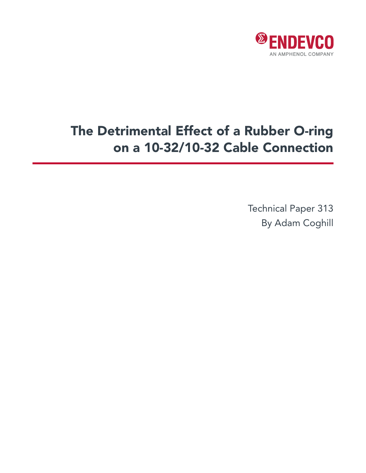

## The Detrimental Effect of a Rubber O-ring on a 10-32/10-32 Cable Connection

Technical Paper 313 By Adam Coghill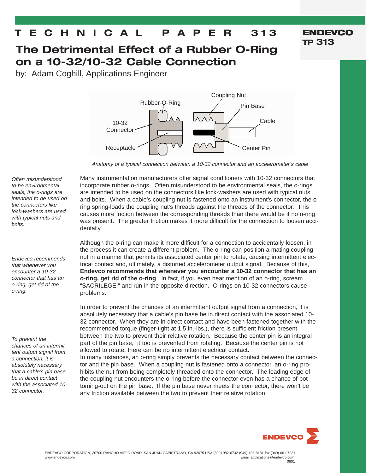## **T E C H N I C A L P A P E R 313**

## **The Detrimental Effect of a Rubber O-Ring on a 10-32/10-32 Cable Connection**

by: Adam Coghill, Applications Engineer



Anatomy of a typical connection between a 10-32 connector and an accelerometer's cable

Many instrumentation manufacturers offer signal conditioners with 10-32 connectors that incorporate rubber o-rings. Often misunderstood to be environmental seals, the o-rings are intended to be used on the connectors like lock-washers are used with typical nuts and bolts. When a cable's coupling nut is fastened onto an instrument's connector, the oring spring-loads the coupling nut's threads against the threads of the connector. This causes more friction between the corresponding threads than there would be if no o-ring was present. The greater friction makes it more difficult for the connection to loosen accidentally.

Although the o-ring can make it more difficult for a connection to accidentally loosen, in the process it can create a different problem. The o-ring can position a mating coupling nut in a manner that permits its associated center pin to rotate, causing intermittent electrical contact and, ultimately, a distorted accelerometer output signal. Because of this, **Endevco recommends that whenever you encounter a 10-32 connector that has an o-ring, get rid of the o-ring**. In fact, if you even hear mention of an o-ring, scream "SACRILEGE!" and run in the opposite direction. O-rings on 10-32 connectors cause problems.

In order to prevent the chances of an intermittent output signal from a connection, it is absolutely necessary that a cable's pin base be in direct contact with the associated 10- 32 connector. When they are in direct contact and have been fastened together with the recommended torque (finger-tight at 1.5 in.-lbs.), there is sufficient friction present between the two to prevent their relative rotation. Because the center pin is an integral part of the pin base, it too is prevented from rotating. Because the center pin is not allowed to rotate, there can be no intermittent electrical contact.

In many instances, an o-ring simply prevents the necessary contact between the connector and the pin base. When a coupling nut is fastened onto a connector, an o-ring prohibits the nut from being completely threaded onto the connector. The leading edge of the coupling nut encounters the o-ring before the connector even has a chance of bottoming-out on the pin base. If the pin base never meets the connector, there won't be any friction available between the two to prevent their relative rotation.



**ENDEVCO**

**TP 313**

Often misunderstood to be environmental seals, the o-rings are intended to be used on the connectors like lock-washers are used with typical nuts and bolts.

Endevco recommends that whenever you encounter a 10-32 connector that has an o-ring, get rid of the o-ring.

To prevent the chances of an intermittent output signal from a connection, it is absolutely necessary that a cable's pin base be in direct contact with the associated 10- 32 connector.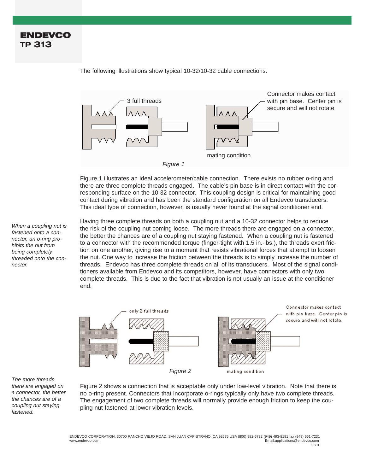3 full threads Connector makes contact with pin base. Center pin is secure and will not rotate mating condition Figure 1

The following illustrations show typical 10-32/10-32 cable connections.

Figure 1 illustrates an ideal accelerometer/cable connection. There exists no rubber o-ring and there are three complete threads engaged. The cable's pin base is in direct contact with the corresponding surface on the 10-32 connector. This coupling design is critical for maintaining good contact during vibration and has been the standard configuration on all Endevco transducers. This ideal type of connection, however, is usually never found at the signal conditioner end.

Having three complete threads on both a coupling nut and a 10-32 connector helps to reduce the risk of the coupling nut coming loose. The more threads there are engaged on a connector, the better the chances are of a coupling nut staying fastened. When a coupling nut is fastened to a connector with the recommended torque (finger-tight with 1.5 in.-lbs.), the threads exert friction on one another, giving rise to a moment that resists vibrational forces that attempt to loosen the nut. One way to increase the friction between the threads is to simply increase the number of threads. Endevco has three complete threads on all of its transducers. Most of the signal conditioners available from Endevco and its competitors, however, have connectors with only two complete threads. This is due to the fact that vibration is not usually an issue at the conditioner end.



The more threads there are engaged on a connector, the better the chances are of a coupling nut staying fastened.

Figure 2 shows a connection that is acceptable only under low-level vibration. Note that there is no o-ring present. Connectors that incorporate o-rings typically only have two complete threads. The engagement of two complete threads will normally provide enough friction to keep the coupling nut fastened at lower vibration levels.

fastened onto a connector, an o-ring prohibits the nut from being completely threaded onto the connector.

When a coupling nut is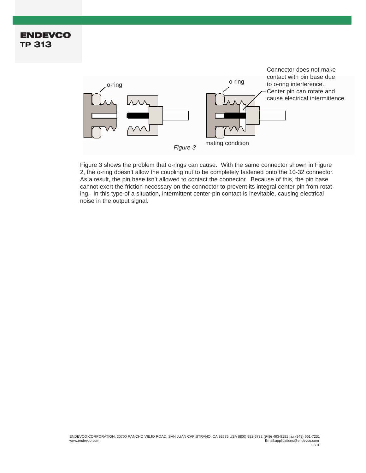## **ENDEVCO TP 313**



Figure 3 shows the problem that o-rings can cause. With the same connector shown in Figure 2, the o-ring doesn't allow the coupling nut to be completely fastened onto the 10-32 connector. As a result, the pin base isn't allowed to contact the connector. Because of this, the pin base cannot exert the friction necessary on the connector to prevent its integral center pin from rotating. In this type of a situation, intermittent center-pin contact is inevitable, causing electrical noise in the output signal.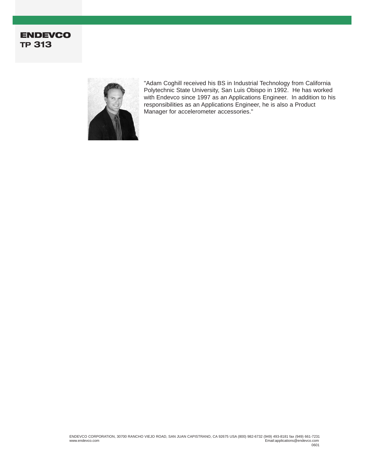



"Adam Coghill received his BS in Industrial Technology from California Polytechnic State University, San Luis Obispo in 1992. He has worked with Endevco since 1997 as an Applications Engineer. In addition to his responsibilities as an Applications Engineer, he is also a Product Manager for accelerometer accessories."